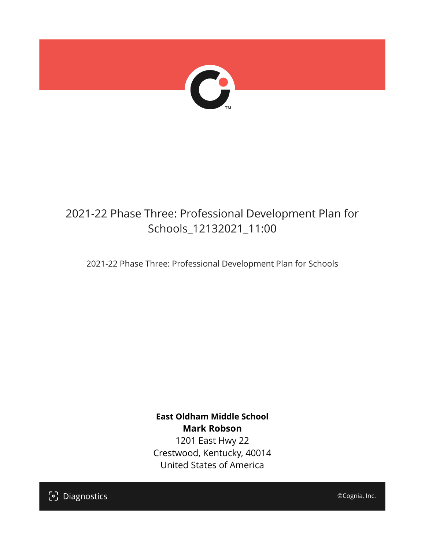

## 2021-22 Phase Three: Professional Development Plan for Schools\_12132021\_11:00

2021-22 Phase Three: Professional Development Plan for Schools

**East Oldham Middle School Mark Robson** 1201 East Hwy 22 Crestwood, Kentucky, 40014 United States of America

[၁] Diagnostics

©Cognia, Inc.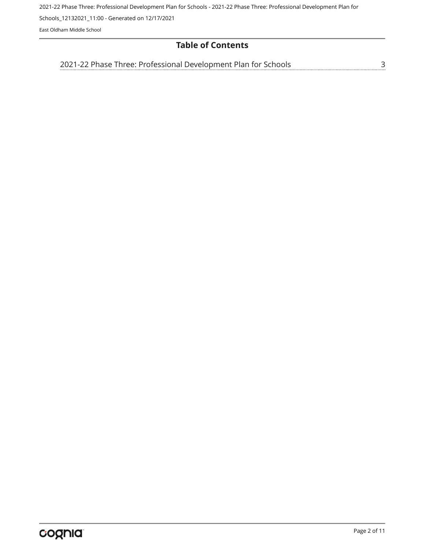2021-22 Phase Three: Professional Development Plan for Schools - 2021-22 Phase Three: Professional Development Plan for

Schools\_12132021\_11:00 - Generated on 12/17/2021

East Oldham Middle School

## **Table of Contents**

[3](#page-2-0) [2021-22 Phase Three: Professional Development Plan for Schools](#page-2-0)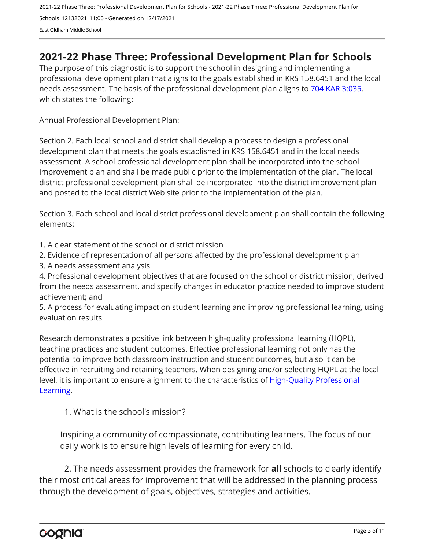## <span id="page-2-0"></span>**2021-22 Phase Three: Professional Development Plan for Schools**

The purpose of this diagnostic is to support the school in designing and implementing a professional development plan that aligns to the goals established in KRS 158.6451 and the local needs assessment. The basis of the professional development plan aligns to [704 KAR 3:035,](https://apps.legislature.ky.gov/Law/kar/704/003/035.pdf) which states the following:

Annual Professional Development Plan:

Section 2. Each local school and district shall develop a process to design a professional development plan that meets the goals established in KRS 158.6451 and in the local needs assessment. A school professional development plan shall be incorporated into the school improvement plan and shall be made public prior to the implementation of the plan. The local district professional development plan shall be incorporated into the district improvement plan and posted to the local district Web site prior to the implementation of the plan.

Section 3. Each school and local district professional development plan shall contain the following elements:

1. A clear statement of the school or district mission

2. Evidence of representation of all persons affected by the professional development plan

3. A needs assessment analysis

4. Professional development objectives that are focused on the school or district mission, derived from the needs assessment, and specify changes in educator practice needed to improve student achievement; and

5. A process for evaluating impact on student learning and improving professional learning, using evaluation results

Research demonstrates a positive link between high-quality professional learning (HQPL), teaching practices and student outcomes. Effective professional learning not only has the potential to improve both classroom instruction and student outcomes, but also it can be effective in recruiting and retaining teachers. When designing and/or selecting HQPL at the local level, it is important to ensure alignment to the characteristics of [High-Quality Professional](https://protect-us.mimecast.com/s/t_VKCmZ28lUj9ElyiG-gxw?domain=education.ky.gov)  [Learning](https://protect-us.mimecast.com/s/t_VKCmZ28lUj9ElyiG-gxw?domain=education.ky.gov).

1. What is the school's mission?

Inspiring a community of compassionate, contributing learners. The focus of our daily work is to ensure high levels of learning for every child.

2. The needs assessment provides the framework for **all** schools to clearly identify their most critical areas for improvement that will be addressed in the planning process through the development of goals, objectives, strategies and activities.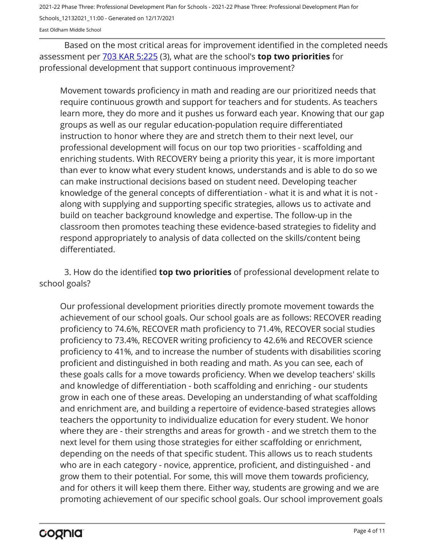2021-22 Phase Three: Professional Development Plan for Schools - 2021-22 Phase Three: Professional Development Plan for

Schools\_12132021\_11:00 - Generated on 12/17/2021

East Oldham Middle School

Based on the most critical areas for improvement identified in the completed needs assessment per [703 KAR 5:225](https://apps.legislature.ky.gov/law/kar/703/005/225.pdf) (3), what are the school's **top two priorities** for professional development that support continuous improvement?

Movement towards proficiency in math and reading are our prioritized needs that require continuous growth and support for teachers and for students. As teachers learn more, they do more and it pushes us forward each year. Knowing that our gap groups as well as our regular education-population require differentiated instruction to honor where they are and stretch them to their next level, our professional development will focus on our top two priorities - scaffolding and enriching students. With RECOVERY being a priority this year, it is more important than ever to know what every student knows, understands and is able to do so we can make instructional decisions based on student need. Developing teacher knowledge of the general concepts of differentiation - what it is and what it is not along with supplying and supporting specific strategies, allows us to activate and build on teacher background knowledge and expertise. The follow-up in the classroom then promotes teaching these evidence-based strategies to fidelity and respond appropriately to analysis of data collected on the skills/content being differentiated.

3. How do the identified **top two priorities** of professional development relate to school goals?

Our professional development priorities directly promote movement towards the achievement of our school goals. Our school goals are as follows: RECOVER reading proficiency to 74.6%, RECOVER math proficiency to 71.4%, RECOVER social studies proficiency to 73.4%, RECOVER writing proficiency to 42.6% and RECOVER science proficiency to 41%, and to increase the number of students with disabilities scoring proficient and distinguished in both reading and math. As you can see, each of these goals calls for a move towards proficiency. When we develop teachers' skills and knowledge of differentiation - both scaffolding and enriching - our students grow in each one of these areas. Developing an understanding of what scaffolding and enrichment are, and building a repertoire of evidence-based strategies allows teachers the opportunity to individualize education for every student. We honor where they are - their strengths and areas for growth - and we stretch them to the next level for them using those strategies for either scaffolding or enrichment, depending on the needs of that specific student. This allows us to reach students who are in each category - novice, apprentice, proficient, and distinguished - and grow them to their potential. For some, this will move them towards proficiency, and for others it will keep them there. Either way, students are growing and we are promoting achievement of our specific school goals. Our school improvement goals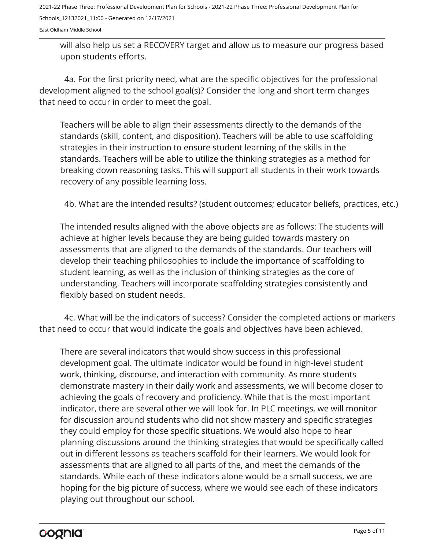East Oldham Middle School

will also help us set a RECOVERY target and allow us to measure our progress based upon students efforts.

4a. For the first priority need, what are the specific objectives for the professional development aligned to the school goal(s)? Consider the long and short term changes that need to occur in order to meet the goal.

Teachers will be able to align their assessments directly to the demands of the standards (skill, content, and disposition). Teachers will be able to use scaffolding strategies in their instruction to ensure student learning of the skills in the standards. Teachers will be able to utilize the thinking strategies as a method for breaking down reasoning tasks. This will support all students in their work towards recovery of any possible learning loss.

4b. What are the intended results? (student outcomes; educator beliefs, practices, etc.)

The intended results aligned with the above objects are as follows: The students will achieve at higher levels because they are being guided towards mastery on assessments that are aligned to the demands of the standards. Our teachers will develop their teaching philosophies to include the importance of scaffolding to student learning, as well as the inclusion of thinking strategies as the core of understanding. Teachers will incorporate scaffolding strategies consistently and flexibly based on student needs.

4c. What will be the indicators of success? Consider the completed actions or markers that need to occur that would indicate the goals and objectives have been achieved.

There are several indicators that would show success in this professional development goal. The ultimate indicator would be found in high-level student work, thinking, discourse, and interaction with community. As more students demonstrate mastery in their daily work and assessments, we will become closer to achieving the goals of recovery and proficiency. While that is the most important indicator, there are several other we will look for. In PLC meetings, we will monitor for discussion around students who did not show mastery and specific strategies they could employ for those specific situations. We would also hope to hear planning discussions around the thinking strategies that would be specifically called out in different lessons as teachers scaffold for their learners. We would look for assessments that are aligned to all parts of the, and meet the demands of the standards. While each of these indicators alone would be a small success, we are hoping for the big picture of success, where we would see each of these indicators playing out throughout our school.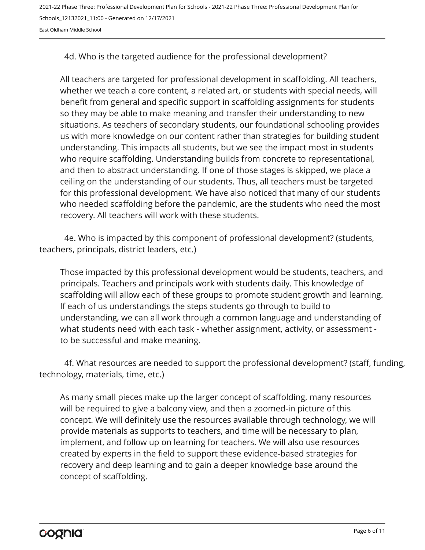East Oldham Middle School

4d. Who is the targeted audience for the professional development?

All teachers are targeted for professional development in scaffolding. All teachers, whether we teach a core content, a related art, or students with special needs, will benefit from general and specific support in scaffolding assignments for students so they may be able to make meaning and transfer their understanding to new situations. As teachers of secondary students, our foundational schooling provides us with more knowledge on our content rather than strategies for building student understanding. This impacts all students, but we see the impact most in students who require scaffolding. Understanding builds from concrete to representational, and then to abstract understanding. If one of those stages is skipped, we place a ceiling on the understanding of our students. Thus, all teachers must be targeted for this professional development. We have also noticed that many of our students who needed scaffolding before the pandemic, are the students who need the most recovery. All teachers will work with these students.

4e. Who is impacted by this component of professional development? (students, teachers, principals, district leaders, etc.)

Those impacted by this professional development would be students, teachers, and principals. Teachers and principals work with students daily. This knowledge of scaffolding will allow each of these groups to promote student growth and learning. If each of us understandings the steps students go through to build to understanding, we can all work through a common language and understanding of what students need with each task - whether assignment, activity, or assessment to be successful and make meaning.

4f. What resources are needed to support the professional development? (staff, funding, technology, materials, time, etc.)

As many small pieces make up the larger concept of scaffolding, many resources will be required to give a balcony view, and then a zoomed-in picture of this concept. We will definitely use the resources available through technology, we will provide materials as supports to teachers, and time will be necessary to plan, implement, and follow up on learning for teachers. We will also use resources created by experts in the field to support these evidence-based strategies for recovery and deep learning and to gain a deeper knowledge base around the concept of scaffolding.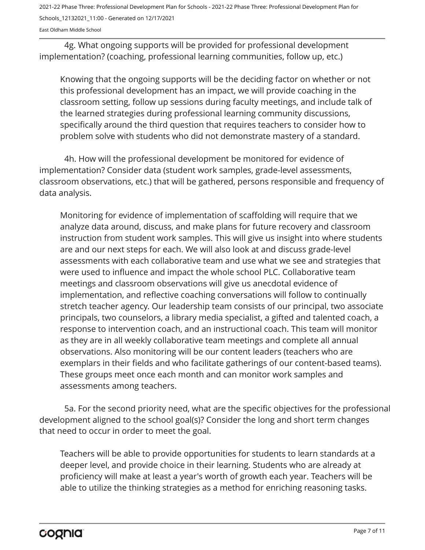East Oldham Middle School

4g. What ongoing supports will be provided for professional development implementation? (coaching, professional learning communities, follow up, etc.)

Knowing that the ongoing supports will be the deciding factor on whether or not this professional development has an impact, we will provide coaching in the classroom setting, follow up sessions during faculty meetings, and include talk of the learned strategies during professional learning community discussions, specifically around the third question that requires teachers to consider how to problem solve with students who did not demonstrate mastery of a standard.

4h. How will the professional development be monitored for evidence of implementation? Consider data (student work samples, grade-level assessments, classroom observations, etc.) that will be gathered, persons responsible and frequency of data analysis.

Monitoring for evidence of implementation of scaffolding will require that we analyze data around, discuss, and make plans for future recovery and classroom instruction from student work samples. This will give us insight into where students are and our next steps for each. We will also look at and discuss grade-level assessments with each collaborative team and use what we see and strategies that were used to influence and impact the whole school PLC. Collaborative team meetings and classroom observations will give us anecdotal evidence of implementation, and reflective coaching conversations will follow to continually stretch teacher agency. Our leadership team consists of our principal, two associate principals, two counselors, a library media specialist, a gifted and talented coach, a response to intervention coach, and an instructional coach. This team will monitor as they are in all weekly collaborative team meetings and complete all annual observations. Also monitoring will be our content leaders (teachers who are exemplars in their fields and who facilitate gatherings of our content-based teams). These groups meet once each month and can monitor work samples and assessments among teachers.

5a. For the second priority need, what are the specific objectives for the professional development aligned to the school goal(s)? Consider the long and short term changes that need to occur in order to meet the goal.

Teachers will be able to provide opportunities for students to learn standards at a deeper level, and provide choice in their learning. Students who are already at proficiency will make at least a year's worth of growth each year. Teachers will be able to utilize the thinking strategies as a method for enriching reasoning tasks.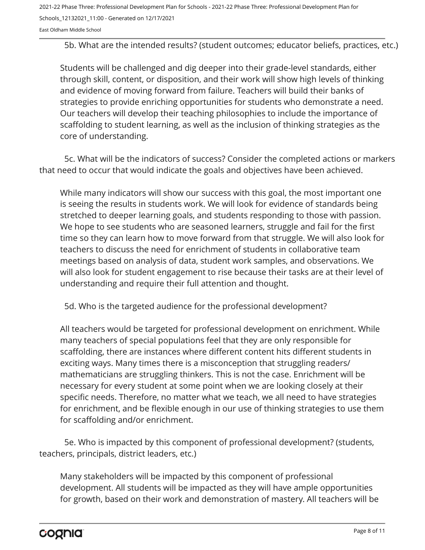East Oldham Middle School

5b. What are the intended results? (student outcomes; educator beliefs, practices, etc.)

Students will be challenged and dig deeper into their grade-level standards, either through skill, content, or disposition, and their work will show high levels of thinking and evidence of moving forward from failure. Teachers will build their banks of strategies to provide enriching opportunities for students who demonstrate a need. Our teachers will develop their teaching philosophies to include the importance of scaffolding to student learning, as well as the inclusion of thinking strategies as the core of understanding.

5c. What will be the indicators of success? Consider the completed actions or markers that need to occur that would indicate the goals and objectives have been achieved.

While many indicators will show our success with this goal, the most important one is seeing the results in students work. We will look for evidence of standards being stretched to deeper learning goals, and students responding to those with passion. We hope to see students who are seasoned learners, struggle and fail for the first time so they can learn how to move forward from that struggle. We will also look for teachers to discuss the need for enrichment of students in collaborative team meetings based on analysis of data, student work samples, and observations. We will also look for student engagement to rise because their tasks are at their level of understanding and require their full attention and thought.

5d. Who is the targeted audience for the professional development?

All teachers would be targeted for professional development on enrichment. While many teachers of special populations feel that they are only responsible for scaffolding, there are instances where different content hits different students in exciting ways. Many times there is a misconception that struggling readers/ mathematicians are struggling thinkers. This is not the case. Enrichment will be necessary for every student at some point when we are looking closely at their specific needs. Therefore, no matter what we teach, we all need to have strategies for enrichment, and be flexible enough in our use of thinking strategies to use them for scaffolding and/or enrichment.

5e. Who is impacted by this component of professional development? (students, teachers, principals, district leaders, etc.)

Many stakeholders will be impacted by this component of professional development. All students will be impacted as they will have ample opportunities for growth, based on their work and demonstration of mastery. All teachers will be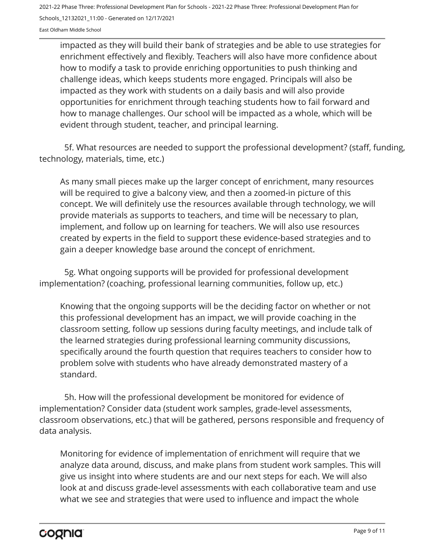impacted as they will build their bank of strategies and be able to use strategies for enrichment effectively and flexibly. Teachers will also have more confidence about how to modify a task to provide enriching opportunities to push thinking and challenge ideas, which keeps students more engaged. Principals will also be impacted as they work with students on a daily basis and will also provide opportunities for enrichment through teaching students how to fail forward and how to manage challenges. Our school will be impacted as a whole, which will be evident through student, teacher, and principal learning.

5f. What resources are needed to support the professional development? (staff, funding, technology, materials, time, etc.)

As many small pieces make up the larger concept of enrichment, many resources will be required to give a balcony view, and then a zoomed-in picture of this concept. We will definitely use the resources available through technology, we will provide materials as supports to teachers, and time will be necessary to plan, implement, and follow up on learning for teachers. We will also use resources created by experts in the field to support these evidence-based strategies and to gain a deeper knowledge base around the concept of enrichment.

5g. What ongoing supports will be provided for professional development implementation? (coaching, professional learning communities, follow up, etc.)

Knowing that the ongoing supports will be the deciding factor on whether or not this professional development has an impact, we will provide coaching in the classroom setting, follow up sessions during faculty meetings, and include talk of the learned strategies during professional learning community discussions, specifically around the fourth question that requires teachers to consider how to problem solve with students who have already demonstrated mastery of a standard.

5h. How will the professional development be monitored for evidence of implementation? Consider data (student work samples, grade-level assessments, classroom observations, etc.) that will be gathered, persons responsible and frequency of data analysis.

Monitoring for evidence of implementation of enrichment will require that we analyze data around, discuss, and make plans from student work samples. This will give us insight into where students are and our next steps for each. We will also look at and discuss grade-level assessments with each collaborative team and use what we see and strategies that were used to influence and impact the whole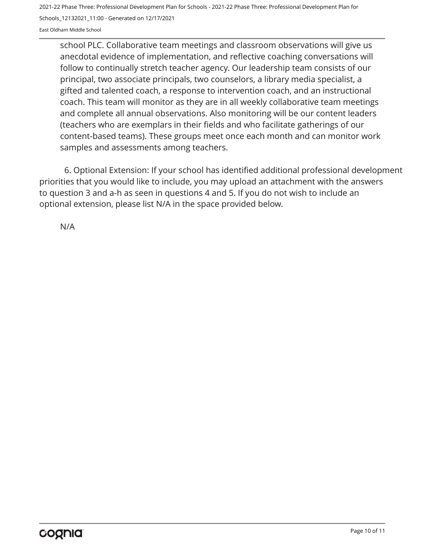East Oldham Middle School

school PLC. Collaborative team meetings and classroom observations will give us anecdotal evidence of implementation, and reflective coaching conversations will follow to continually stretch teacher agency. Our leadership team consists of our principal, two associate principals, two counselors, a library media specialist, a gifted and talented coach, a response to intervention coach, and an instructional coach. This team will monitor as they are in all weekly collaborative team meetings and complete all annual observations. Also monitoring will be our content leaders (teachers who are exemplars in their fields and who facilitate gatherings of our content-based teams). These groups meet once each month and can monitor work samples and assessments among teachers.

6. Optional Extension: If your school has identified additional professional development priorities that you would like to include, you may upload an attachment with the answers to question 3 and a-h as seen in questions 4 and 5. If you do not wish to include an optional extension, please list N/A in the space provided below.

N/A